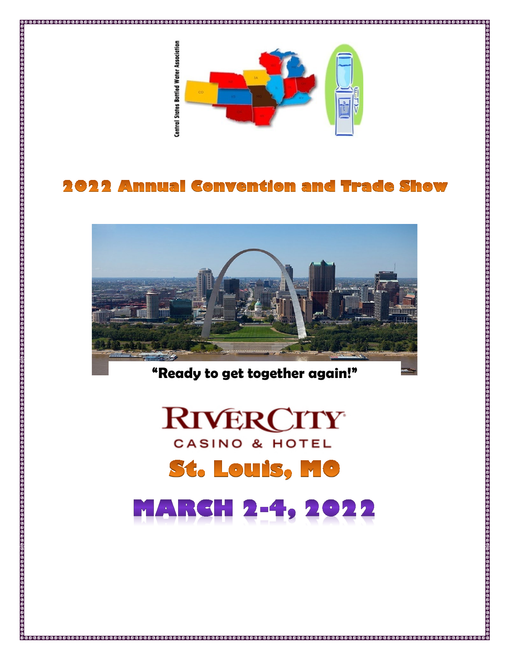

# **2022 Annual Convention and Trade Show**



**"Ready to get together again!"**

# **RIVERCITY** CASINO & HOTEL **St. Louis, MC** MARCH 2-4, 2022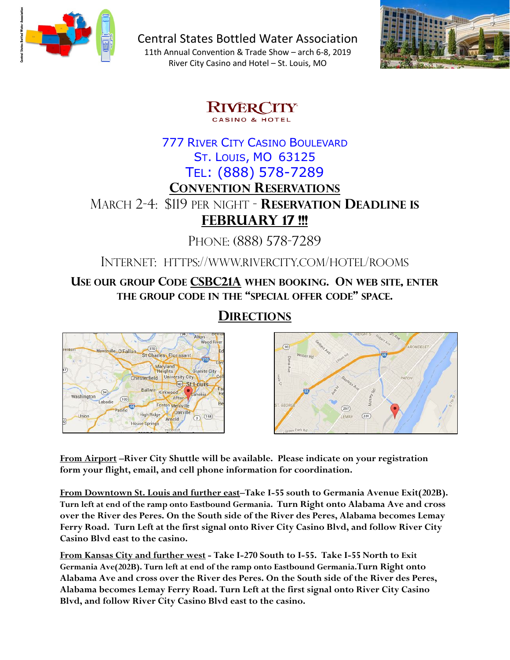

Central States Bottled Water Association

11th Annual Convention & Trade Show – arch 6-8, 2019 River City Casino and Hotel – St. Louis, MO



**RIVERCITY** CASINO & HOTEL

# 777 RIVER CITY CASINO BOULEVARD ST. LOUIS, MO 63125 TEL: (888) 578-7289 **CONVENTION RESERVATIONS** MARCH 2-4: \$119 PER NIGHT - **RESERVATION DEADLINE IS FEBRUARY 17 !!!**

PHONE: (888) 578-7289

INTERNET: HTTPS://WWW.RIVERCITY.COM/HOTEL/ROOMS

**USE OUR GROUP CODE CSBC21A WHEN BOOKING. ON WEB SITE, ENTER THE GROUP CODE IN THE "SPECIAL OFFER CODE" SPACE.**

**DIRECTIONS**





**From Airport –River City Shuttle will be available. Please indicate on your registration form your flight, email, and cell phone information for coordination.**

**From Downtown St. Louis and further east–Take I-55 south to Germania Avenue Exit(202B). Turn left at end of the ramp onto Eastbound Germania. Turn Right onto Alabama Ave and cross over the River des Peres. On the South side of the River des Peres, Alabama becomes Lemay Ferry Road. Turn Left at the first signal onto River City Casino Blvd, and follow River City Casino Blvd east to the casino.**

**From Kansas City and further west - Take I-270 South to I-55. Take I-55 North to Exit Germania Ave(202B). Turn left at end of the ramp onto Eastbound Germania.Turn Right onto Alabama Ave and cross over the River des Peres. On the South side of the River des Peres, Alabama becomes Lemay Ferry Road. Turn Left at the first signal onto River City Casino Blvd, and follow River City Casino Blvd east to the casino.**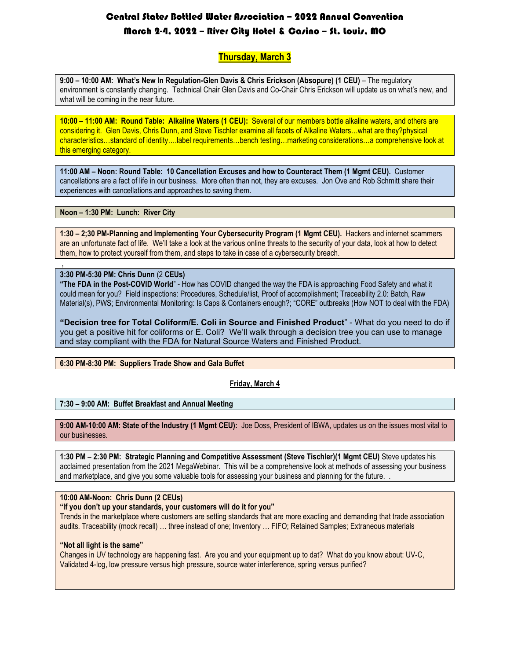## Central States Bottled Water Association – 2022 Annual Convention March 2-4, 2022 – River City Hotel & Casino – St. Louis, MO

#### **Thursday, March 3**

**9:00 – 10:00 AM: What's New In Regulation-Glen Davis & Chris Erickson (Absopure) (1 CEU)** – The regulatory environment is constantly changing. Technical Chair Glen Davis and Co-Chair Chris Erickson will update us on what's new, and what will be coming in the near future.

**10:00 – 11:00 AM: Round Table: Alkaline Waters (1 CEU):** Several of our members bottle alkaline waters, and others are considering it. Glen Davis, Chris Dunn, and Steve Tischler examine all facets of Alkaline Waters…what are they?physical characteristics…standard of identity….label requirements…bench testing…marketing considerations…a comprehensive look at this emerging category.

**11:00 AM – Noon: Round Table: 10 Cancellation Excuses and how to Counteract Them (1 Mgmt CEU).** Customer cancellations are a fact of life in our business. More often than not, they are excuses. Jon Ove and Rob Schmitt share their experiences with cancellations and approaches to saving them.

**Noon – 1:30 PM: Lunch: River City** 

**1:30 – 2;30 PM-Planning and Implementing Your Cybersecurity Program (1 Mgmt CEU).** Hackers and internet scammers are an unfortunate fact of life. We'll take a look at the various online threats to the security of your data, look at how to detect them, how to protect yourself from them, and steps to take in case of a cybersecurity breach.

#### **3:30 PM-5:30 PM: Chris Dunn** (2 **CEUs)**

,

**"The FDA in the Post-COVID World**" - How has COVID changed the way the FDA is approaching Food Safety and what it could mean for you? Field inspections: Procedures, Schedule/list, Proof of accomplishment; Traceability 2.0: Batch, Raw Material(s), PWS; Environmental Monitoring: Is Caps & Containers enough?; "CORE" outbreaks (How NOT to deal with the FDA)

**"Decision tree for Total Coliform/E. Coli in Source and Finished Product**" - What do you need to do if you get a positive hit for coliforms or E. Coli? We'll walk through a decision tree you can use to manage and stay compliant with the FDA for Natural Source Waters and Finished Product.

#### **6:30 PM-8:30 PM: Suppliers Trade Show and Gala Buffet**

#### **Friday, March 4**

#### **7:30 – 9:00 AM: Buffet Breakfast and Annual Meeting**

**9:00 AM-10:00 AM: State of the Industry (1 Mgmt CEU):** Joe Doss, President of IBWA, updates us on the issues most vital to our businesses.

**1:30 PM – 2:30 PM: Strategic Planning and Competitive Assessment (Steve Tischler)(1 Mgmt CEU)** Steve updates his acclaimed presentation from the 2021 MegaWebinar. This will be a comprehensive look at methods of assessing your business and marketplace, and give you some valuable tools for assessing your business and planning for the future. .

#### **10:00 AM-Noon: Chris Dunn (2 CEUs)**

**"If you don't up your standards, your customers will do it for you"**

Trends in the marketplace where customers are setting standards that are more exacting and demanding that trade association audits. Traceability (mock recall) … three instead of one; Inventory … FIFO; Retained Samples; Extraneous materials

#### **"Not all light is the same"**

Changes in UV technology are happening fast. Are you and your equipment up to dat? What do you know about: UV-C, Validated 4-log, low pressure versus high pressure, source water interference, spring versus purified?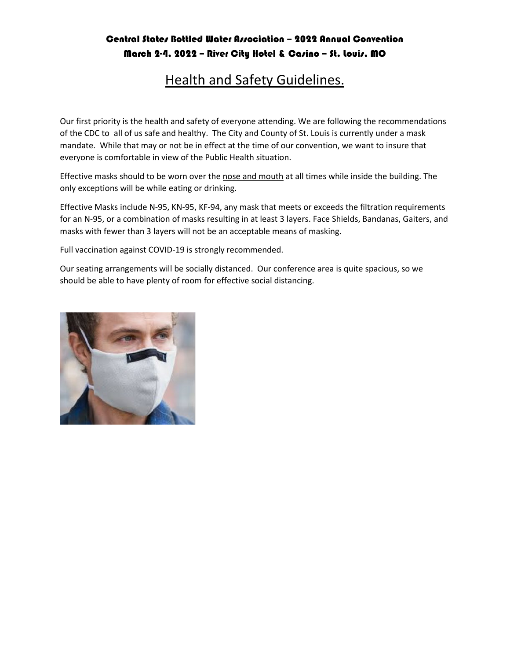### Central States Bottled Water Association - 2022 Annual Convention March 2-4, 2022 – River City Hotel & Casino – St. Louis, MO

# Health and Safety Guidelines.

Our first priority is the health and safety of everyone attending. We are following the recommendations of the CDC to all of us safe and healthy. The City and County of St. Louis is currently under a mask mandate. While that may or not be in effect at the time of our convention, we want to insure that everyone is comfortable in view of the Public Health situation.

Effective masks should to be worn over the nose and mouth at all times while inside the building. The only exceptions will be while eating or drinking.

Effective Masks include N-95, KN-95, KF-94, any mask that meets or exceeds the filtration requirements for an N-95, or a combination of masks resulting in at least 3 layers. Face Shields, Bandanas, Gaiters, and masks with fewer than 3 layers will not be an acceptable means of masking.

Full vaccination against COVID-19 is strongly recommended.

Our seating arrangements will be socially distanced. Our conference area is quite spacious, so we should be able to have plenty of room for effective social distancing.

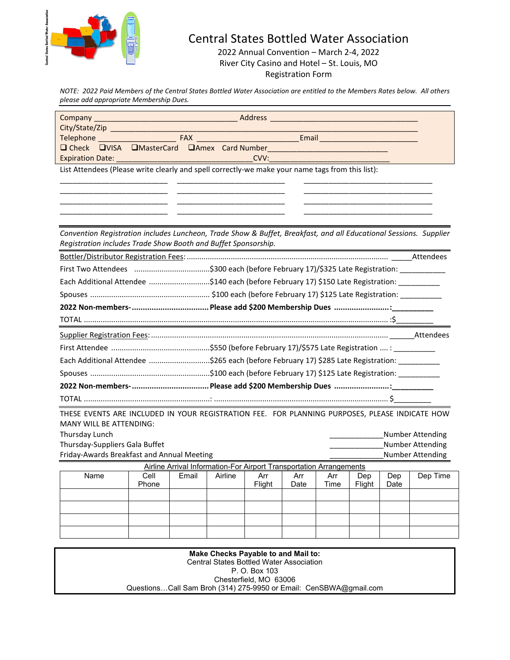

# Central States Bottled Water Association

2022 Annual Convention – March 2-4, 2022 River City Casino and Hotel – St. Louis, MO Registration Form

*NOTE: 2022 Paid Members of the Central States Bottled Water Association are entitled to the Members Rates below. All others please add appropriate Membership Dues.*

| Company<br>City/State/Zip                                                                                                                                                                                                        |                                                                                                                                                                                                                                    |       |         | Address <b>Address</b> |      |      |               |             |          |
|----------------------------------------------------------------------------------------------------------------------------------------------------------------------------------------------------------------------------------|------------------------------------------------------------------------------------------------------------------------------------------------------------------------------------------------------------------------------------|-------|---------|------------------------|------|------|---------------|-------------|----------|
| <b>Telephone Contract EXAM EXAMPLE EXAMPLE EXAMPLE EXAMPLE EXAMPLE EXAMPLE EXAMPLE EXAMPLE EXAMPLE TO THE EXAMPLE EXAMPLE TO THE EXAMPLE THE EXAMPLE TO THE EXAMPLE THE EXAMPLE THE EXAMPLE THE EXAMPLE THE EXAMPLE THE EXAM</b> |                                                                                                                                                                                                                                    |       |         |                        |      |      |               |             |          |
| $\Box$ Check $\Box$ VISA                                                                                                                                                                                                         | <b>UMasterCard DAmex Card Number CALCE AND A STATE AND RESIDENT A STATE OF A STATE OF A STATE OF A STATE OF A STATE OF A STATE OF A STATE OF A STATE OF A STATE OF A STATE OF A STATE OF A STATE OF A STATE OF A STATE OF A ST</b> |       |         |                        |      |      |               |             |          |
| <b>Expiration Date:</b>                                                                                                                                                                                                          |                                                                                                                                                                                                                                    |       |         | CVV:                   |      |      |               |             |          |
| List Attendees (Please write clearly and spell correctly-we make your name tags from this list):                                                                                                                                 |                                                                                                                                                                                                                                    |       |         |                        |      |      |               |             |          |
|                                                                                                                                                                                                                                  |                                                                                                                                                                                                                                    |       |         |                        |      |      |               |             |          |
|                                                                                                                                                                                                                                  |                                                                                                                                                                                                                                    |       |         |                        |      |      |               |             |          |
|                                                                                                                                                                                                                                  |                                                                                                                                                                                                                                    |       |         |                        |      |      |               |             |          |
|                                                                                                                                                                                                                                  |                                                                                                                                                                                                                                    |       |         |                        |      |      |               |             |          |
| Convention Registration includes Luncheon, Trade Show & Buffet, Breakfast, and all Educational Sessions. Supplier<br>Registration includes Trade Show Booth and Buffet Sponsorship.                                              |                                                                                                                                                                                                                                    |       |         |                        |      |      |               |             |          |
|                                                                                                                                                                                                                                  |                                                                                                                                                                                                                                    |       |         |                        |      |      |               |             |          |
|                                                                                                                                                                                                                                  |                                                                                                                                                                                                                                    |       |         |                        |      |      |               |             |          |
| Each Additional Attendee \$140 each (before February 17) \$150 Late Registration:                                                                                                                                                |                                                                                                                                                                                                                                    |       |         |                        |      |      |               |             |          |
|                                                                                                                                                                                                                                  |                                                                                                                                                                                                                                    |       |         |                        |      |      |               |             |          |
|                                                                                                                                                                                                                                  |                                                                                                                                                                                                                                    |       |         |                        |      |      |               |             |          |
|                                                                                                                                                                                                                                  |                                                                                                                                                                                                                                    |       |         |                        |      |      |               |             |          |
|                                                                                                                                                                                                                                  |                                                                                                                                                                                                                                    |       |         |                        |      |      |               |             |          |
|                                                                                                                                                                                                                                  |                                                                                                                                                                                                                                    |       |         |                        |      |      |               |             |          |
| Each Additional Attendee \$265 each (before February 17) \$285 Late Registration: ______                                                                                                                                         |                                                                                                                                                                                                                                    |       |         |                        |      |      |               |             |          |
|                                                                                                                                                                                                                                  |                                                                                                                                                                                                                                    |       |         |                        |      |      |               |             |          |
| 2022 Non-members- ……………………………… Please add \$200 Membership Dues ……………………………                                                                                                                                                      |                                                                                                                                                                                                                                    |       |         |                        |      |      |               |             |          |
|                                                                                                                                                                                                                                  |                                                                                                                                                                                                                                    |       |         |                        |      |      |               |             |          |
|                                                                                                                                                                                                                                  |                                                                                                                                                                                                                                    |       |         |                        |      |      |               |             |          |
| THESE EVENTS ARE INCLUDED IN YOUR REGISTRATION FEE. FOR PLANNING PURPOSES, PLEASE INDICATE HOW<br><b>MANY WILL BE ATTENDING:</b>                                                                                                 |                                                                                                                                                                                                                                    |       |         |                        |      |      |               |             |          |
| Thursday Lunch<br><b>Number Attending</b>                                                                                                                                                                                        |                                                                                                                                                                                                                                    |       |         |                        |      |      |               |             |          |
| <b>Number Attending</b><br>Thursday-Suppliers Gala Buffet                                                                                                                                                                        |                                                                                                                                                                                                                                    |       |         |                        |      |      |               |             |          |
| Friday-Awards Breakfast and Annual Meeting<br>Number Attending<br>Airline Arrival Information-For Airport Transportation Arrangements                                                                                            |                                                                                                                                                                                                                                    |       |         |                        |      |      |               |             |          |
| Name                                                                                                                                                                                                                             | Cell                                                                                                                                                                                                                               | Email | Airline | Arr                    | Arr  | Arr  |               |             | Dep Time |
|                                                                                                                                                                                                                                  | Phone                                                                                                                                                                                                                              |       |         | Flight                 | Date | Time | Dep<br>Flight | Dep<br>Date |          |
|                                                                                                                                                                                                                                  |                                                                                                                                                                                                                                    |       |         |                        |      |      |               |             |          |
|                                                                                                                                                                                                                                  |                                                                                                                                                                                                                                    |       |         |                        |      |      |               |             |          |
|                                                                                                                                                                                                                                  |                                                                                                                                                                                                                                    |       |         |                        |      |      |               |             |          |
|                                                                                                                                                                                                                                  |                                                                                                                                                                                                                                    |       |         |                        |      |      |               |             |          |

| Make Checks Payable to and Mail to:                               |  |
|-------------------------------------------------------------------|--|
| <b>Central States Bottled Water Association</b>                   |  |
| P. O. Box 103                                                     |  |
| Chesterfield, MO 63006                                            |  |
| QuestionsCall Sam Broh (314) 275-9950 or Email: CenSBWA@gmail.com |  |